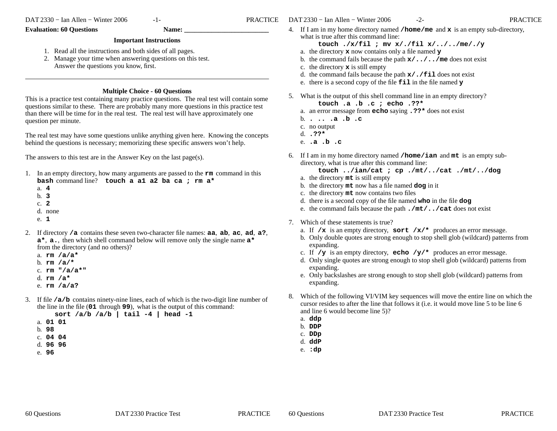## **Evaluation: 60 Questions Name:**

## **Important Instructions**

- 1. Read all the instructions and both sides of all pages.
- 2. Manage your time when answering questions on this test. Answer the questions you know, first.

## **Multiple Choice - 60 Questions**

 This is a practice test containing many practice questions. The real test will contain somequestions similar to these. There are probably many more questions in this practice testthan there will be time for in the real test. The real test will have approximately onequestion per minute.

The real test may have some questions unlike anything given here. Knowing the conceptsbehind the questions is necessary; memorizing these specific answers won't help.

The answers to this test are in the Answer Key on the last page(s).

- 1. In an empty directory, how many arguments are passed to the **rm** command in this **bash** command line? **touch a a1 a2 ba ca ; rm a\***
	- a. **4**
	- b. **3**
	- c. **2**
	- d. none
	- e. **1**
- 2. If directory **/a** contains these seven two-character file names: **aa**, **ab**, **ac**, **ad**, **a?**, **<sup>a</sup>\***, **a.**, then which shell command below will remove only the single name **<sup>a</sup>\***from the directory (and no others)?
	- a. **rm /a/a\***
	- b. **rm /a/\***
	- c. **rm "/a/a\*"**
	- d. **rm /a\***
	- e. **rm /a/a?**
- 3. If file **/a/b** contains ninety-nine lines, each of which is the two-digit line number of the line in the file (**01** through **<sup>99</sup>**), what is the output of this command:

**sort /a/b /a/b | tail -4 | head -1**

- a. **01 01**
- b. **98**
- c. **04 04**
- d. **96 96**
- e. **96**

4. If <sup>I</sup> am in my home directory named **/home/me** and **<sup>x</sup>** is an empty sub-directory, what is true after this command line:

**touch ./x/fil ; mv x/./fil x/../../me/./y**

- a. the directory **<sup>x</sup>** now contains only a file named **<sup>y</sup>**
- b. the command fails because the path **x/../../me** does not exist
- c. the directory **<sup>x</sup>** is still empty
- d. the command fails because the path **x/./fil** does not exist
- e. there is a second copy of the file **fil** in the file named **<sup>y</sup>**
- 5. What is the output of this shell command line in an empty directory?**touch .a .b .c ; echo .??\***
	- a. an error message from **echo** saying **.??\*** does not exist
	- b. **. .. .a .b .c**
	- c. no output
	- d. **.??\***
	- e. **.a .b .c**
- 6. If <sup>I</sup> am in my home directory named **/home/ian** and **mt** is an empty subdirectory, what is true after this command line:

**touch ../ian/cat ; cp ./mt/../cat ./mt/../dog**

- a. the directory **mt** is still empty
- b. the directory **mt** now has a file named **dog** in it
- c. the directory **mt** now contains two files
- d. there is a second copy of the file named **who** in the file **dog**
- e. the command fails because the path **./mt/../cat** does not exist
- 7. Which of these statements is true?
	- a. If **/x** is an empty directory, **sort /x/\*** produces an error message.
	- b. Only double quotes are strong enough to stop shell glob (wildcard) patterns fromexpanding.
	- c. If  $/\mathbf{y}$  is an empty directory, **echo**  $/\mathbf{y}/*$  produces an error message.
	- d. Only single quotes are strong enough to stop shell glob (wildcard) patterns fromexpanding.
	- e. Only backslashes are strong enough to stop shell glob (wildcard) patterns fromexpanding.
- 8. Which of the following VI/VIM key sequences will move the entire line on which the cursor resides to after the line that follows it (i.e. it would move line 5 to be line 6and line 6 would become line 5)?
	- a. **ddp**
	- b. **DDP**
	- c. **DDp**
	- d. **ddP**
	- e. **:dp**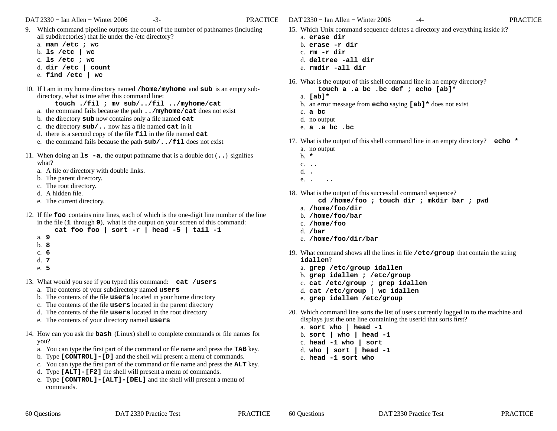DAT 2330 <sup>−</sup> Ian Allen − Winter 2006 -3- PRACTICE

- 9. Which command pipeline outputs the count of the number of pathnames (including all subdirectories) that lie under the /etc directory?
	- a. **man /etc ; wc**
	- b. **ls /etc | wc**
	- c. **ls /etc ; wc**
	- d. **dir /etc | count**
	- e. **find /etc | wc**
- 10. If <sup>I</sup> am in my home directory named **/home/myhome** and **sub** is an empty subdirectory, what is true after this command line:

**touch ./fil ; mv sub/../fil ../myhome/cat**

- a. the command fails because the path **../myhome/cat** does not exist
- b. the directory **sub** now contains only a file named **cat**
- c. the directory **sub/..** now has a file named **cat** in it
- d. there is a second copy of the file **fil** in the file named **cat**
- e. the command fails because the path **sub/../fil** does not exist
- 11. When doing an **ls -a**, the output pathname that is a double dot (**..**) signifies what?
	- a. A file or directory with double links.
	- b. The parent directory.
	- c. The root directory.
	- d. A hidden file.
	- e. The current directory.
- 12. If file **foo** contains nine lines, each of which is the one-digit line number of the line in the file (**1** through **<sup>9</sup>**), what is the output on your screen of this command:
	- **cat foo foo | sort -r | head -5 | tail -1**
	- a. **9**
	- b. **8**
	- c. **6**
	- d. **7**
	- e. **5**
- 13. What would you see if you typed this command: **cat /users**
	- a. The contents of your subdirectory named **users**
	- b. The contents of the file **users** located in your home directory
	- c. The contents of the file **users** located in the parent directory
	- d. The contents of the file **users** located in the root directory
	- e. The contents of your directory named **users**
- 14. How can you ask the **bash** (Linux) shell to complete commands or file names for you?
	- a. You can type the first part of the command or file name and press the **TAB** key.
	- b. Type **[CONTROL]-[D]** and the shell will present a menu of commands.
	- c. You can type the first part of the command or file name and press the **ALT** key.
	- d. Type **[ALT]-[F2]** the shell will present a menu of commands.
	- e. Type **[CONTROL]-[ALT]-[DEL]** and the shell will present a menu of commands.
- DAT 2330 <sup>−</sup> Ian Allen − Winter 2006 -4- PRACTICE15. Which Unix command sequence deletes a directory and everything inside it?
	- a. **erase dir**
	- b. **erase -r dir**
	- c. **rm -r dir**
	- d. **deltree -all dir**
	- e. **rmdir -all dir**
- 16. What is the output of this shell command line in an empty directory?
	- **touch a .a bc .bc def ; echo [ab]\***
	- a. **[ab]\***
	- b. an error message from **echo** saying **[ab]\*** does not exist
	- c. **<sup>a</sup> bc**
	- d. no output
	- e. **<sup>a</sup> .a bc .bc**
- 17. What is the output of this shell command line in an empty directory? **echo \***
	- a. no output
	- b. **\***
	- c. **..**d. **.**
	- e.**. ..**
- 18. What is the output of this successful command sequence?
	- **cd /home/foo ; touch dir ; mkdir bar ; pwd**
	- a. **/home/foo/dir**
	- b. **/home/foo/bar**
	- c. **/home/foo**
	- d. **/bar**
	- e. **/home/foo/dir/bar**
- 19. What command shows all the lines in file **/etc/group** that contain the string **idallen**?
	- a. **grep /etc/group idallen**
	- b. **grep idallen ; /etc/group**
	- c. **cat /etc/group ; grep idallen**
	- d. **cat /etc/group | wc idallen**
	- e. **grep idallen /etc/group**
- 20. Which command line sorts the list of users currently logged in to the machine and displays just the one line containing the userid that sorts first?
	- a. **sort who | head -1**
	- b. **sort | who | head -1**
	- c. **head -1 who | sort**
	- d. **who | sort | head -1**
	- e. **head -1 sort who**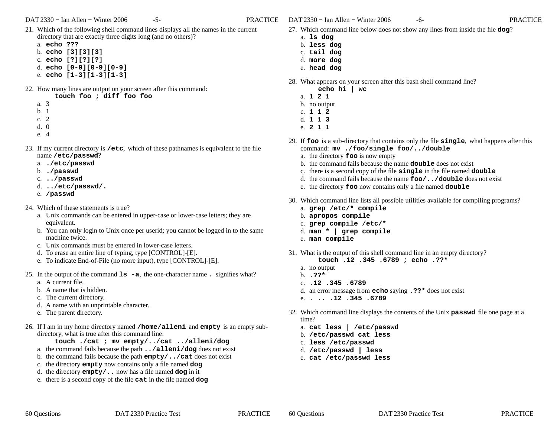- 21. Which of the following shell command lines displays all the names in the current directory that are exactly three digits long (and no others)?
	- a. **echo ???**
	- b. **echo [3][3][3]**
	- c. **echo [?][?][?]**
	- d. **echo [0-9][0-9][0-9]**
	- e. **echo [1-3][1-3][1-3]**
- 22. How many lines are output on your screen after this command:
	- **touch foo ; diff foo foo**
	- a. 3
	- b. 1
	- c. 2
	- d. 0
	- e. 4
- 23. If my current directory is **/etc**, which of these pathnames is equivalent to the filename **/etc/passwd**?
	- a. **./etc/passwd**
	- b. **./passwd**
	- c. **../passwd**
	- d. **../etc/passwd/.**
	- e. **/passwd**
- 24. Which of these statements is true?
	- a. Unix commands can be entered in upper-case or lower-case letters; they are equivalent.
	- b. You can only login to Unix once per userid; you cannot be logged in to the samemachine twice.
	- c. Unix commands must be entered in lower-case letters.
	- d. To erase an entire line of typing, type [CONTROL]-[E].
	- e. To indicate End-of-File (no more input), type [CONTROL]-[E].
- 25. In the output of the command **ls -a**, the one-character name **.** signifies what?
	- a. A current file.
	- b. A name that is hidden.
	- c. The current directory.
	- d. A name with an unprintable character.
	- e. The parent directory.
- 26. If <sup>I</sup> am in my home directory named **/home/alleni** and **empty** is an empty subdirectory, what is true after this command line:
	- **touch ./cat ; mv empty/../cat ../alleni/dog**
	- a. the command fails because the path **../alleni/dog** does not exist
	- b. the command fails because the path **empty/../cat** does not exist
	- c. the directory **empty** now contains only a file named **dog**
	- d. the directory **empty/..** now has a file named **dog** in it
	- e. there is a second copy of the file **cat** in the file named **dog**
- 27. Which command line below does not show any lines from inside the file **dog**?
	- a. **ls dog**
	- b. **less dog**
	- c. **tail dog**
	- d. **more dog**
	- e. **head dog**
- 28. What appears on your screen after this bash shell command line?
	- **echo hi | wc**
	- a. **121**
	- b. no output
	- c. **112**
	- d. **113**
	- e. **211**
- 29. If **foo** is a sub-directory that contains only the file **single**, what happens after this command: **mv ./foo/single foo/../double**
	- a. the directory **foo** is now empty
	- b. the command fails because the name **double** does not exist
	- c. there is a second copy of the file **single** in the file named **double**
	- d. the command fails because the name **foo/../double** does not exist
	- e. the directory **foo** now contains only a file named **double**
- 30. Which command line lists all possible utilities available for compiling programs?
	- a. **grep /etc/\* compile**
	- b. **apropos compile**
	- c. **grep compile /etc/\***
	- d. **man \* | grep compile**
	- e. **man compile**
- 31. What is the output of this shell command line in an empty directory?
	- **touch .12 .345 .6789 ; echo .??\***
	- a. no output
	- b. **.??\***

- c. **.12 .345 .6789**
- d. an error message from **echo** saying **.??\*** does not exist
- e. **. .. .12 .345 .6789**
- 32. Which command line displays the contents of the Unix **passwd** file one page at a time?
	- a. **cat less | /etc/passwd**
	- b. **/etc/passwd cat less**
	- c. **less /etc/passwd**
	- d. **/etc/passwd | less**
	- e. **cat /etc/passwd less**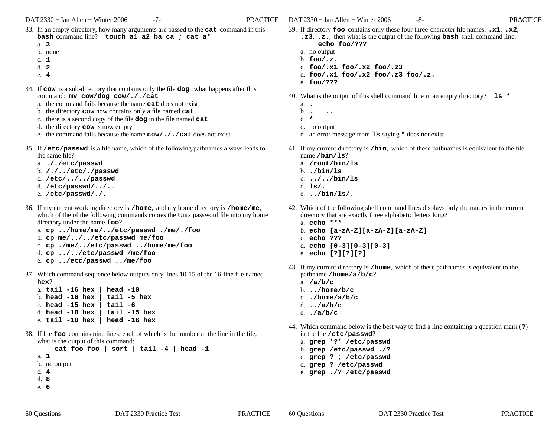- 33. In an empty directory, how many arguments are passed to the **cat** command in this **bash** command line? **touch a1 a2 ba ca ; cat a\***
	- a. **3**
	- b. none
	- c. **1**
	- d. **2**
	- e. **4**
- 34. If **cow** is a sub-directory that contains only the file **dog**, what happens after this command: **mv cow/dog cow/././cat**
	- a. the command fails because the name **cat** does not exist
	- b. the directory **cow** now contains only a file named **cat**
	- c. there is a second copy of the file **dog** in the file named **cat**
	- d. the directory **cow** is now empty
	- e. the command fails because the name **cow/././cat** does not exist
- 35. If **/etc/passwd** is a file name, which of the following pathnames always leads to the same file?
	- a. **././etc/passwd**
	- b. **/./../etc/./passwd**
	- c. **/etc/../../passwd**
	- d. **/etc/passwd/../..**
	- e. **/etc/passwd/./.**
- 36. If my current working directory is **/home**, and my home directory is **/home/me**, which of the of the following commands copies the Unix password file into my home directory under the name **foo**?
	- a. **cp ../home/me/../etc/passwd ./me/./foo**
	- b. **cp me/../../etc/passwd me/foo**
	- c. **cp ./me/../etc/passwd ../home/me/foo**
	- d. **cp ../../etc/passwd /me/foo**
	- e. **cp ../etc/passwd ../me/foo**
- 37. Which command sequence below outputs only lines 10-15 of the 16-line file named **hex**?
	- a. **tail -16 hex | head -10** b. **head -16 hex | tail -5 hex**c. **head -15 hex | tail -6** d. **head -10 hex | tail -15 hex**e. **tail -10 hex | head -16 hex**
- 38. If file **foo** contains nine lines, each of which is the number of the line in the file, what is the output of this command:

```

cat foo foo | sort | tail -4 | head -1
```
- a. **1**
- b. no output
- c. **4**
- d. **8**
- e. **6**
- 39. If directory **foo** contains only these four three-character file names: **.x1**, **.x2**,
	- **.z3**, **.z.**, then what is the output of the following **bash** shell command line: **echo foo/???**
	- a. no output
	- b. **foo/.z.**
	- c. **foo/.x1 foo/.x2 foo/.z3**
	- d. **foo/.x1 foo/.x2 foo/.z3 foo/.z.**
	- e. **foo/???**
- 40. What is the output of this shell command line in an empty directory? **ls \***
	- a. **.**
	- b.
	- **. ..** c. **\***
	- d. no output
	- e. an error message from **ls** saying **\*** does not exist
- 41. If my current directory is **/bin**, which of these pathnames is equivalent to the filename **/bin/ls**?
	- a. **/root/bin/ls**
	- b. **./bin/ls**
	- c. **../../bin/ls**
	- d. **ls/.**
	- e. **../bin/ls/.**
- 42. Which of the following shell command lines displays only the names in the current directory that are exactly three alphabetic letters long?
	- a. **echo \*\*\***
	- b. **echo [a-zA-Z][a-zA-Z][a-zA-Z]**
	- c. **echo ???**
	- d. **echo [0-3][0-3][0-3]**
	- e. **echo [?][?][?]**
- 43. If my current directory is **/home**, which of these pathnames is equivalent to thepathname **/home/a/b/c**?
	- a. **/a/b/c** b. **../home/b/c** c. **./home/a/b/c**d. **../a/b/c**e. **./a/b/c**

- 44. Which command below is the best way to find a line containing a question mark (**?**) in the file **/etc/passwd**?
	- a. **grep '?' /etc/passwd**
	- b. **grep /etc/passwd ./?**
	- c. **grep ? ; /etc/passwd**d. **grep ? /etc/passwd**
	- e. **grep ./? /etc/passwd**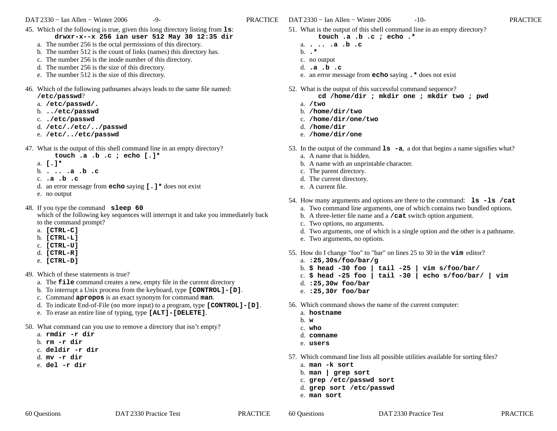- 45. Which of the following is true, given this long directory listing from **ls**: **drwxr-x--x 256 ian user 512 May 30 12:35 dir**
	- a. The number 256 is the octal permissions of this directory.
	- b. The number 512 is the count of links (names) this directory has.
	- c. The number 256 is the inode number of this directory.
	- d. The number 256 is the size of this directory.
	- e. The number 512 is the size of this directory.
- 46. Which of the following pathnames always leads to the same file named: **/etc/passwd**?
	- a. **/etc/passwd/.**
	- b. **../etc/passwd**
	- c. **./etc/passwd**
	- d. **/etc/./etc/../passwd**
	- e. **/etc/../etc/passwd**
- 47. What is the output of this shell command line in an empty directory?
	- **touch .a .b .c ; echo [.]\***
	- a. **[.]\***
	- b. **. .. .a .b .c**
	- c. **.a .b .c**
	- d. an error message from **echo** saying **[.]\*** does not exist
	- e. no output
- 48. If you type the command **sleep 60**

 which of the following key sequences will interrupt it and take you immediately backto the command prompt?

- a. **[CTRL-C]**
- b. **[CTRL-L]**
- c. **[CTRL-U]**
- d. **[CTRL-R]**
- e. **[CTRL-D]**
- 49. Which of these statements is true?
	- a. The **file** command creates a new, empty file in the current directory
	- b. To interrupt a Unix process from the keyboard, type **[CONTROL]-[D]**.
	- c. Command **apropos** is an exact synonym for command **man**.
	- d. To indicate End-of-File (no more input) to a program, type **[CONTROL]-[D]**.
	- e. To erase an entire line of typing, type **[ALT]-[DELETE]**.
- 50. What command can you use to remove a directory that isn't empty?
	- a. **rmdir -r dir**
	- b. **rm -r dir**
	- c. **deldir -r dir**
	- d. **mv -r dir**
	- e. **del -r dir**
- 51. What is the output of this shell command line in an empty directory?
	- **touch .a .b .c ; echo .\***
	- a. **. .. .a .b .c** b. **.\***
	- c. no output
	- d. **.a .b .c**
	- e. an error message from **echo** saying **.\*** does not exist
- 52. What is the output of this successful command sequence? **cd /home/dir ; mkdir one ; mkdir two ; pwd**
	- a. **/two**
	- b. **/home/dir/two**
	- c. **/home/dir/one/two**
	- d. **/home/dir**
	- e. **/home/dir/one**
- 53. In the output of the command **ls -a**, <sup>a</sup> dot that begins a name signifies what?
	- a. A name that is hidden.
	- b. A name with an unprintable character.
	- c. The parent directory.
	- d. The current directory.
	- e. A current file.
- 54. How many arguments and options are there to the command: **ls -ls /cat**
	- a. Two command line arguments, one of which contains two bundled options.
	- b. A three-letter file name and a **/cat** switch option argument.
	- c. Two options, no arguments.
	- d. Two arguments, one of which is a single option and the other is a pathname.
	- e. Two arguments, no options.
- 55. How do I change "foo" to "bar" on lines 25 to 30 in the **vim** editor?
	- a. **:25,30s/foo/bar/g**
	- b. **\$ head -30 foo | tail -25 | vim s/foo/bar/**
	- c. **\$ head -25 foo | tail -30 | echo s/foo/bar/ | vim**
	- d. **:25,30w foo/bar**
	- e. **:25,30r foo/bar**
- 56. Which command shows the name of the current computer:
	- a. **hostname**
	- b. **<sup>w</sup>**

- c. **who**
- d. **comname**
- e. **users**
- 57. Which command line lists all possible utilities available for sorting files?
	- a. **man -k sort**
	- b. **man | grep sort**
	- c. **grep /etc/passwd sort**
	- d. **grep sort /etc/passwd**
	- e. **man sort**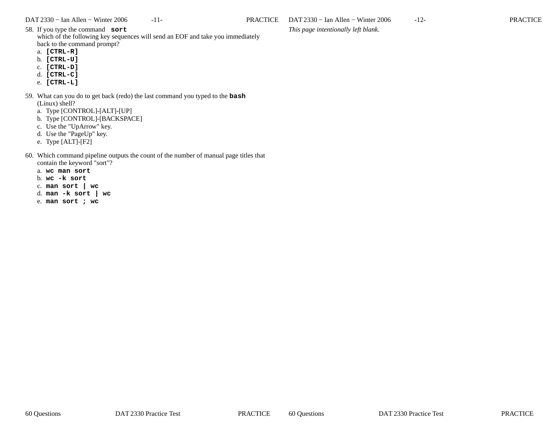*This page intentionally left blank.*

58. If you type the command **sort** which of the following key sequences will send an EOF and take you immediatelyback to the command prompt?

- a. **[CTRL-R]**
- b. **[CTRL-U]**
- c. **[CTRL-D]**
- d. **[CTRL-C]**
- e. **[CTRL-L]**
- 59. What can you do to get back (redo) the last command you typed to the **bash**(Linux) shell?
	- a. Type [CONTROL]-[ALT]-[UP]
	- b. Type [CONTROL]-[BACKSPACE]
	- c. Use the "UpArrow" key.
	- d. Use the "PageUp" key.
	- e. Type [ALT]-[F2]
- 60. Which command pipeline outputs the count of the number of manual page titles that contain the keyword "sort"?
	- a. **wc man sort**
	- b. **wc -k sort**
	- c. **man sort | wc**
	- d. **man -k sort | wc**
	- e. **man sort ; wc**